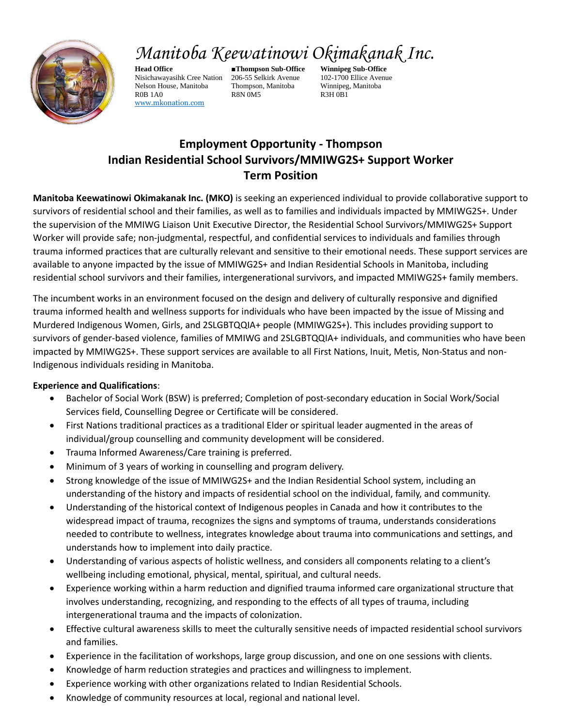

# *Manitoba Keewatinowi Okimakanak Inc.*

**Head Office ■Thompson Sub-Office Winnipeg Sub-Office** Nisichawayasihk Cree Nation 206-55 Selkirk Avenue 102-1700 Ellice Avenue Nelson House, Manitoba Thompson, Manitoba Winnipeg, Manitoba R0B 1A0 R8N 0M5 R3H 0B1 [www.mkonation.com](http://www.mkonation.com/)

## **Employment Opportunity - Thompson Indian Residential School Survivors/MMIWG2S+ Support Worker Term Position**

**Manitoba Keewatinowi Okimakanak Inc. (MKO)** is seeking an experienced individual to provide collaborative support to survivors of residential school and their families, as well as to families and individuals impacted by MMIWG2S+. Under the supervision of the MMIWG Liaison Unit Executive Director, the Residential School Survivors/MMIWG2S+ Support Worker will provide safe; non-judgmental, respectful, and confidential services to individuals and families through trauma informed practices that are culturally relevant and sensitive to their emotional needs. These support services are available to anyone impacted by the issue of MMIWG2S+ and Indian Residential Schools in Manitoba, including residential school survivors and their families, intergenerational survivors, and impacted MMIWG2S+ family members.

The incumbent works in an environment focused on the design and delivery of culturally responsive and dignified trauma informed health and wellness supports for individuals who have been impacted by the issue of Missing and Murdered Indigenous Women, Girls, and 2SLGBTQQIA+ people (MMIWG2S+). This includes providing support to survivors of gender-based violence, families of MMIWG and 2SLGBTQQIA+ individuals, and communities who have been impacted by MMIWG2S+. These support services are available to all First Nations, Inuit, Metis, Non-Status and non-Indigenous individuals residing in Manitoba.

### **Experience and Qualifications**:

- Bachelor of Social Work (BSW) is preferred; Completion of post-secondary education in Social Work/Social Services field, Counselling Degree or Certificate will be considered.
- First Nations traditional practices as a traditional Elder or spiritual leader augmented in the areas of individual/group counselling and community development will be considered.
- Trauma Informed Awareness/Care training is preferred.
- Minimum of 3 years of working in counselling and program delivery.
- Strong knowledge of the issue of MMIWG2S+ and the Indian Residential School system, including an understanding of the history and impacts of residential school on the individual, family, and community.
- Understanding of the historical context of Indigenous peoples in Canada and how it contributes to the widespread impact of trauma, recognizes the signs and symptoms of trauma, understands considerations needed to contribute to wellness, integrates knowledge about trauma into communications and settings, and understands how to implement into daily practice.
- Understanding of various aspects of holistic wellness, and considers all components relating to a client's wellbeing including emotional, physical, mental, spiritual, and cultural needs.
- Experience working within a harm reduction and dignified trauma informed care organizational structure that involves understanding, recognizing, and responding to the effects of all types of trauma, including intergenerational trauma and the impacts of colonization.
- Effective cultural awareness skills to meet the culturally sensitive needs of impacted residential school survivors and families.
- Experience in the facilitation of workshops, large group discussion, and one on one sessions with clients.
- Knowledge of harm reduction strategies and practices and willingness to implement.
- Experience working with other organizations related to Indian Residential Schools.
- Knowledge of community resources at local, regional and national level.